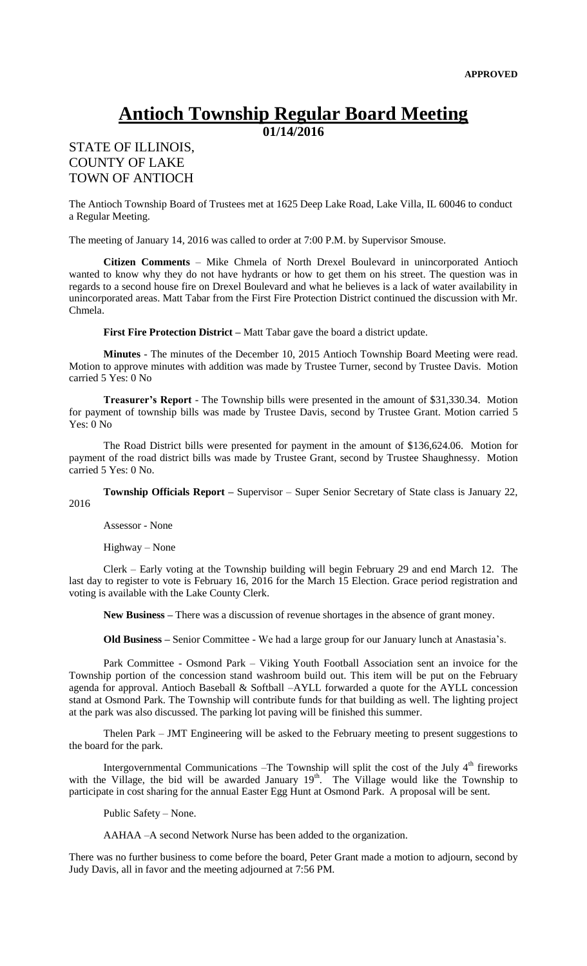## **Antioch Township Regular Board Meeting**

**01/14/2016**

## STATE OF ILLINOIS, COUNTY OF LAKE TOWN OF ANTIOCH

The Antioch Township Board of Trustees met at 1625 Deep Lake Road, Lake Villa, IL 60046 to conduct a Regular Meeting.

The meeting of January 14, 2016 was called to order at 7:00 P.M. by Supervisor Smouse.

**Citizen Comments** – Mike Chmela of North Drexel Boulevard in unincorporated Antioch wanted to know why they do not have hydrants or how to get them on his street. The question was in regards to a second house fire on Drexel Boulevard and what he believes is a lack of water availability in unincorporated areas. Matt Tabar from the First Fire Protection District continued the discussion with Mr. Chmela.

**First Fire Protection District –** Matt Tabar gave the board a district update.

**Minutes** - The minutes of the December 10, 2015 Antioch Township Board Meeting were read. Motion to approve minutes with addition was made by Trustee Turner, second by Trustee Davis. Motion carried 5 Yes: 0 No

**Treasurer's Report** - The Township bills were presented in the amount of \$31,330.34. Motion for payment of township bills was made by Trustee Davis, second by Trustee Grant. Motion carried 5 Yes: 0 No

The Road District bills were presented for payment in the amount of \$136,624.06. Motion for payment of the road district bills was made by Trustee Grant, second by Trustee Shaughnessy. Motion carried 5 Yes: 0 No.

**Township Officials Report –** Supervisor – Super Senior Secretary of State class is January 22, 2016

Assessor - None

Highway – None

Clerk – Early voting at the Township building will begin February 29 and end March 12. The last day to register to vote is February 16, 2016 for the March 15 Election. Grace period registration and voting is available with the Lake County Clerk.

**New Business –** There was a discussion of revenue shortages in the absence of grant money.

**Old Business –** Senior Committee - We had a large group for our January lunch at Anastasia's.

Park Committee - Osmond Park – Viking Youth Football Association sent an invoice for the Township portion of the concession stand washroom build out. This item will be put on the February agenda for approval. Antioch Baseball & Softball –AYLL forwarded a quote for the AYLL concession stand at Osmond Park. The Township will contribute funds for that building as well. The lighting project at the park was also discussed. The parking lot paving will be finished this summer.

Thelen Park – JMT Engineering will be asked to the February meeting to present suggestions to the board for the park.

Intergovernmental Communications –The Township will split the cost of the July  $4<sup>th</sup>$  fireworks with the Village, the bid will be awarded January  $19<sup>th</sup>$ . The Village would like the Township to participate in cost sharing for the annual Easter Egg Hunt at Osmond Park. A proposal will be sent.

Public Safety – None.

AAHAA –A second Network Nurse has been added to the organization.

There was no further business to come before the board, Peter Grant made a motion to adjourn, second by Judy Davis, all in favor and the meeting adjourned at 7:56 PM.